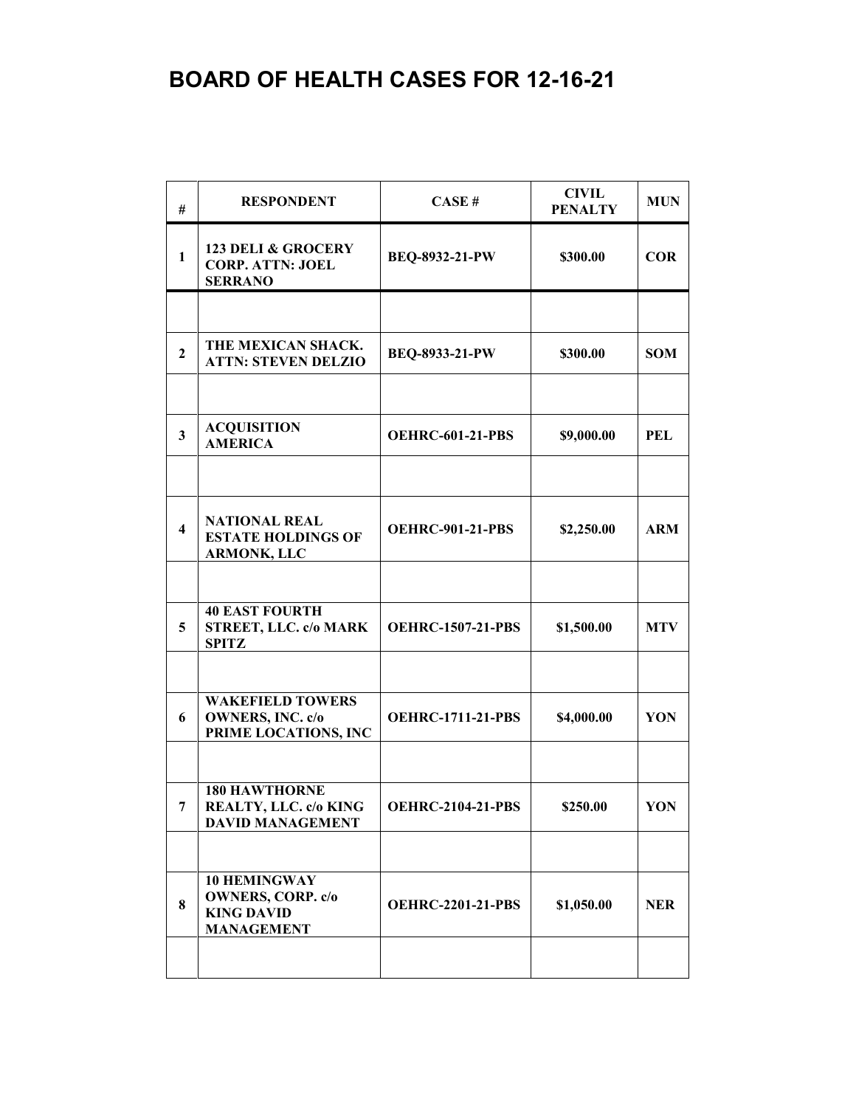| #                       | <b>RESPONDENT</b>                                                                         | CASE#                    | <b>CIVIL</b><br><b>PENALTY</b> | <b>MUN</b> |
|-------------------------|-------------------------------------------------------------------------------------------|--------------------------|--------------------------------|------------|
| $\mathbf{1}$            | <b>123 DELI &amp; GROCERY</b><br><b>CORP. ATTN: JOEL</b><br><b>SERRANO</b>                | BEQ-8932-21-PW           | \$300.00                       | <b>COR</b> |
|                         |                                                                                           |                          |                                |            |
| $\overline{2}$          | THE MEXICAN SHACK.<br><b>ATTN: STEVEN DELZIO</b>                                          | BEQ-8933-21-PW           | \$300.00                       | <b>SOM</b> |
|                         |                                                                                           |                          |                                |            |
| 3                       | <b>ACQUISITION</b><br><b>AMERICA</b>                                                      | <b>OEHRC-601-21-PBS</b>  | \$9,000.00                     | <b>PEL</b> |
|                         |                                                                                           |                          |                                |            |
| $\overline{\mathbf{4}}$ | <b>NATIONAL REAL</b><br><b>ESTATE HOLDINGS OF</b><br><b>ARMONK, LLC</b>                   | <b>OEHRC-901-21-PBS</b>  | \$2,250.00                     | <b>ARM</b> |
|                         |                                                                                           |                          |                                |            |
| 5                       | <b>40 EAST FOURTH</b><br><b>STREET, LLC. c/o MARK</b><br><b>SPITZ</b>                     | <b>OEHRC-1507-21-PBS</b> | \$1,500.00                     | <b>MTV</b> |
|                         |                                                                                           |                          |                                |            |
| 6                       | <b>WAKEFIELD TOWERS</b><br><b>OWNERS, INC. c/o</b><br>PRIME LOCATIONS, INC                | <b>OEHRC-1711-21-PBS</b> | \$4,000.00                     | YON        |
|                         |                                                                                           |                          |                                |            |
| 7                       | <b>180 HAWTHORNE</b><br>REALTY, LLC. c/o KING<br><b>DAVID MANAGEMENT</b>                  | <b>OEHRC-2104-21-PBS</b> | \$250.00                       | YON        |
|                         |                                                                                           |                          |                                |            |
| 8                       | <b>10 HEMINGWAY</b><br><b>OWNERS, CORP. c/o</b><br><b>KING DAVID</b><br><b>MANAGEMENT</b> | <b>OEHRC-2201-21-PBS</b> | \$1,050.00                     | <b>NER</b> |
|                         |                                                                                           |                          |                                |            |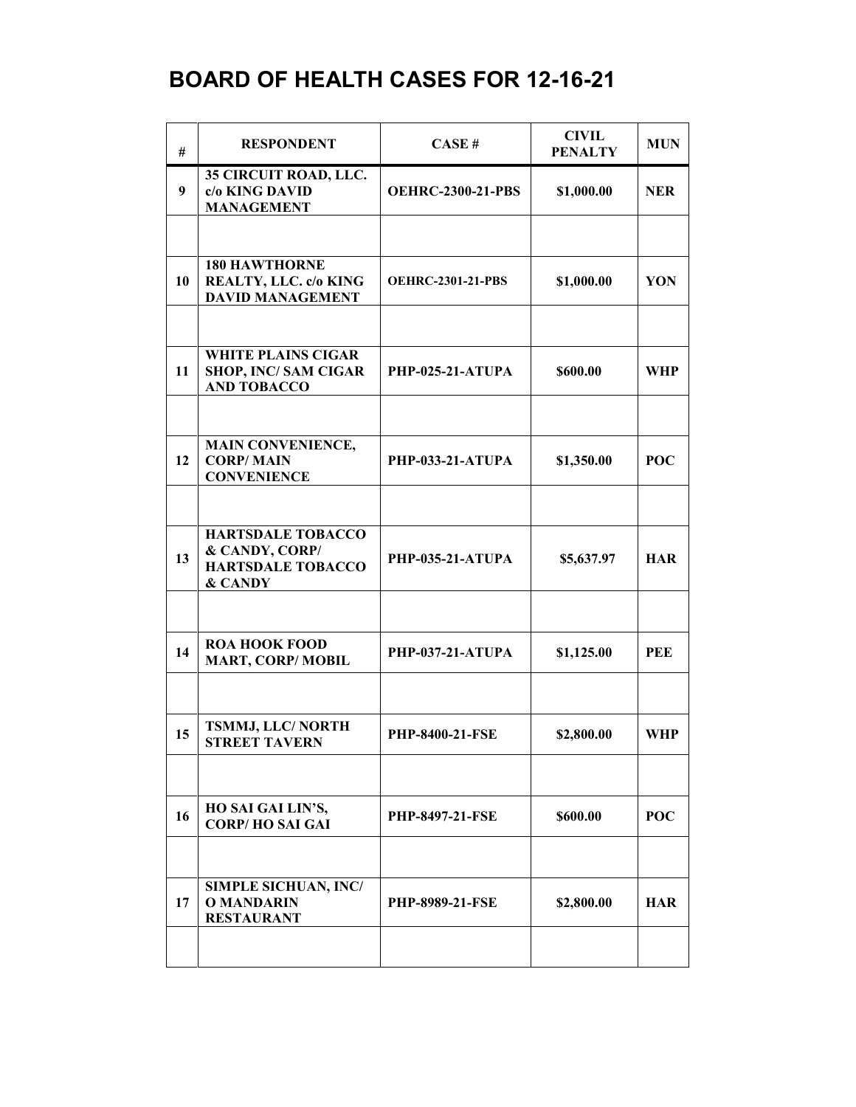| #  | <b>RESPONDENT</b>                                                                 | CASE#                    | <b>CIVIL</b><br><b>PENALTY</b> | <b>MUN</b> |
|----|-----------------------------------------------------------------------------------|--------------------------|--------------------------------|------------|
| 9  | 35 CIRCUIT ROAD, LLC.<br>c/o KING DAVID<br><b>MANAGEMENT</b>                      | <b>OEHRC-2300-21-PBS</b> | \$1,000.00                     | <b>NER</b> |
|    |                                                                                   |                          |                                |            |
| 10 | <b>180 HAWTHORNE</b><br>REALTY, LLC. c/o KING<br><b>DAVID MANAGEMENT</b>          | <b>OEHRC-2301-21-PBS</b> | \$1,000.00                     | YON        |
|    |                                                                                   |                          |                                |            |
| 11 | <b>WHITE PLAINS CIGAR</b><br><b>SHOP, INC/SAM CIGAR</b><br><b>AND TOBACCO</b>     | PHP-025-21-ATUPA         | \$600.00                       | <b>WHP</b> |
|    |                                                                                   |                          |                                |            |
| 12 | <b>MAIN CONVENIENCE,</b><br><b>CORP/MAIN</b><br><b>CONVENIENCE</b>                | <b>PHP-033-21-ATUPA</b>  | \$1,350.00                     | <b>POC</b> |
|    |                                                                                   |                          |                                |            |
| 13 | <b>HARTSDALE TOBACCO</b><br>& CANDY, CORP/<br><b>HARTSDALE TOBACCO</b><br>& CANDY | <b>PHP-035-21-ATUPA</b>  | \$5,637.97                     | <b>HAR</b> |
|    |                                                                                   |                          |                                |            |
| 14 | <b>ROA HOOK FOOD</b><br><b>MART, CORP/MOBIL</b>                                   | PHP-037-21-ATUPA         | \$1,125.00                     | PEE        |
|    |                                                                                   |                          |                                |            |
| 15 | TSMMJ, LLC/ NORTH<br><b>STREET TAVERN</b>                                         | PHP-8400-21-FSE          | \$2,800.00                     | <b>WHP</b> |
|    |                                                                                   |                          |                                |            |
| 16 | HO SAI GAI LIN'S,<br><b>CORP/HO SAI GAI</b>                                       | <b>PHP-8497-21-FSE</b>   | \$600.00                       | <b>POC</b> |
|    |                                                                                   |                          |                                |            |
| 17 | <b>SIMPLE SICHUAN, INC/</b><br><b>O MANDARIN</b><br><b>RESTAURANT</b>             | <b>PHP-8989-21-FSE</b>   | \$2,800.00                     | <b>HAR</b> |
|    |                                                                                   |                          |                                |            |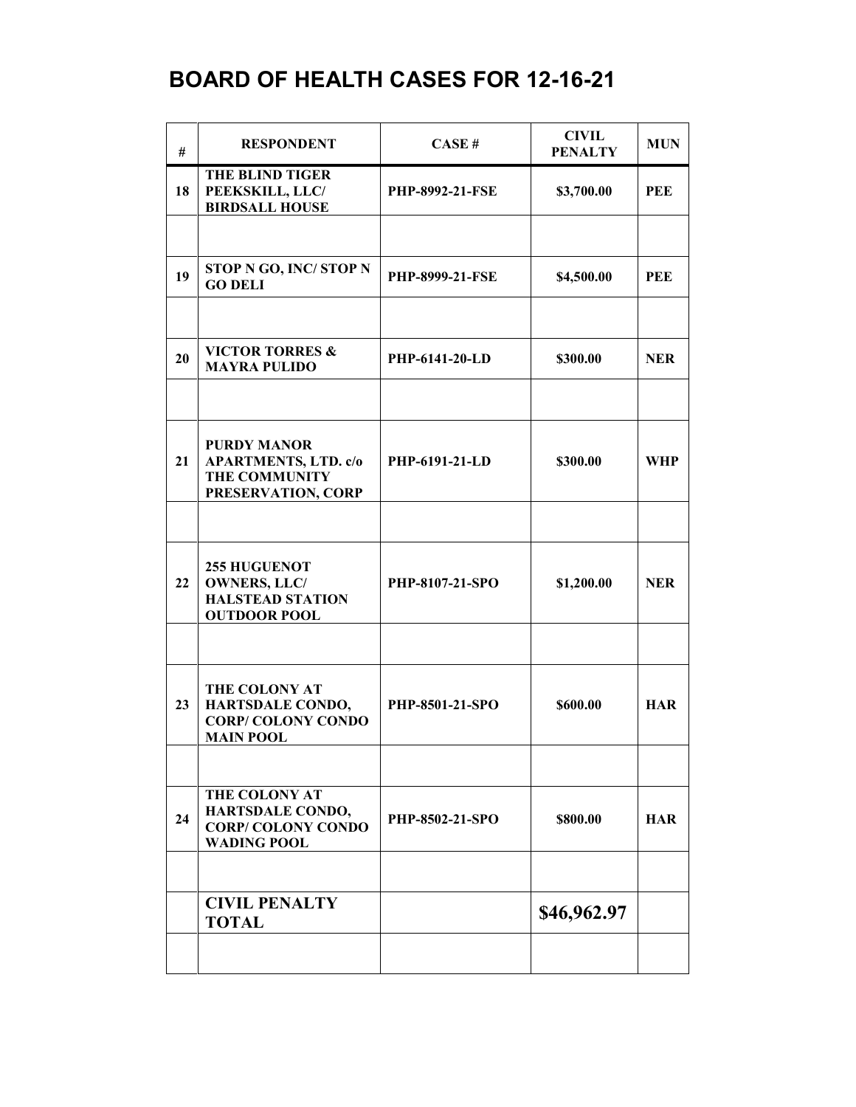| #  | <b>RESPONDENT</b>                                                                               | CASE#                  | <b>CIVIL</b><br><b>PENALTY</b> | <b>MUN</b> |
|----|-------------------------------------------------------------------------------------------------|------------------------|--------------------------------|------------|
| 18 | <b>THE BLIND TIGER</b><br>PEEKSKILL, LLC/<br><b>BIRDSALL HOUSE</b>                              | <b>PHP-8992-21-FSE</b> | \$3,700.00                     | <b>PEE</b> |
|    |                                                                                                 |                        |                                |            |
| 19 | STOP N GO, INC/ STOP N<br><b>GO DELI</b>                                                        | <b>PHP-8999-21-FSE</b> | \$4,500.00                     | PEE        |
|    |                                                                                                 |                        |                                |            |
| 20 | <b>VICTOR TORRES &amp;</b><br><b>MAYRA PULIDO</b>                                               | PHP-6141-20-LD         | \$300.00                       | <b>NER</b> |
|    |                                                                                                 |                        |                                |            |
| 21 | <b>PURDY MANOR</b><br><b>APARTMENTS, LTD. c/o</b><br><b>THE COMMUNITY</b><br>PRESERVATION, CORP | PHP-6191-21-LD         | \$300.00                       | <b>WHP</b> |
|    |                                                                                                 |                        |                                |            |
| 22 | <b>255 HUGUENOT</b><br><b>OWNERS, LLC/</b><br><b>HALSTEAD STATION</b><br><b>OUTDOOR POOL</b>    | PHP-8107-21-SPO        | \$1,200.00                     | <b>NER</b> |
|    |                                                                                                 |                        |                                |            |
| 23 | THE COLONY AT<br><b>HARTSDALE CONDO,</b><br><b>CORP/COLONY CONDO</b><br><b>MAIN POOL</b>        | PHP-8501-21-SPO        | \$600.00                       | <b>HAR</b> |
|    |                                                                                                 |                        |                                |            |
| 24 | THE COLONY AT<br>HARTSDALE CONDO,<br><b>CORP/COLONY CONDO</b><br><b>WADING POOL</b>             | PHP-8502-21-SPO        | \$800.00                       | <b>HAR</b> |
|    |                                                                                                 |                        |                                |            |
|    | <b>CIVIL PENALTY</b><br><b>TOTAL</b>                                                            |                        | \$46,962.97                    |            |
|    |                                                                                                 |                        |                                |            |